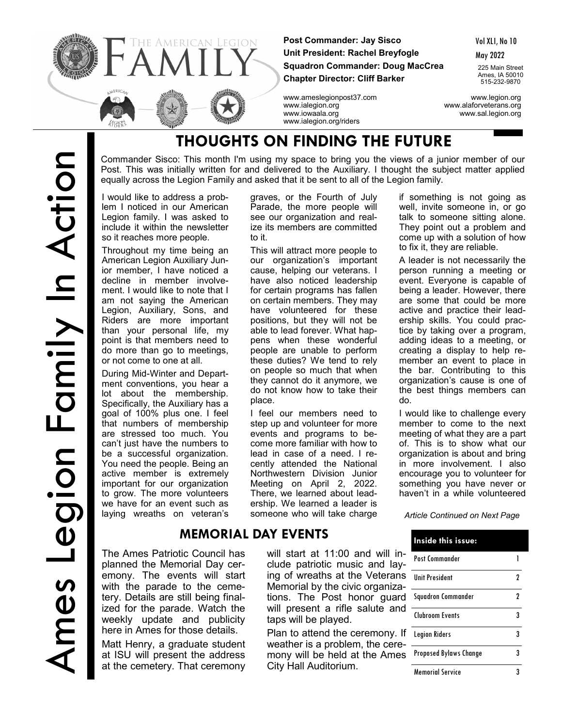

**Post Commander: Jay Sisco Unit President: Rachel Breyfogle Squadron Commander: Doug MacCrea Chapter Director: Cliff Barker**

Vol XLI, No 10

May 2022

225 Main Street Ames, IA 50010 515-232-9870

www.ameslegionpost37.com www.legion.org www.ialegion.org www.alaforveterans.org www.iowaala.org www.sal.legion.org www.ialegion.org/riders

# **THOUGHTS ON FINDING THE FUTURE**

Commander Sisco: This month I'm using my space to bring you the views of a junior member of our Post. This was initially written for and delivered to the Auxiliary. I thought the subject matter applied equally across the Legion Family and asked that it be sent to all of the Legion family.

I would like to address a problem I noticed in our American Legion family. I was asked to include it within the newsletter so it reaches more people.

Throughout my time being an American Legion Auxiliary Junior member, I have noticed a decline in member involvement. I would like to note that I am not saying the American Legion, Auxiliary, Sons, and Riders are more important than your personal life, my point is that members need to do more than go to meetings, or not come to one at all.

During Mid-Winter and Department conventions, you hear a lot about the membership. Specifically, the Auxiliary has a goal of 100% plus one. I feel that numbers of membership are stressed too much. You can't just have the numbers to be a successful organization. You need the people. Being an active member is extremely important for our organization to grow. The more volunteers we have for an event such as laying wreaths on veteran's

graves, or the Fourth of July Parade, the more people will see our organization and realize its members are committed to it.

This will attract more people to our organization's important cause, helping our veterans. I have also noticed leadership for certain programs has fallen on certain members. They may have volunteered for these positions, but they will not be able to lead forever. What happens when these wonderful people are unable to perform these duties? We tend to rely on people so much that when they cannot do it anymore, we do not know how to take their place.

I feel our members need to step up and volunteer for more events and programs to become more familiar with how to lead in case of a need. I recently attended the National Northwestern Division Junior Meeting on April 2, 2022. There, we learned about leadership. We learned a leader is someone who will take charge

# **MEMORIAL DAY EVENTS**

The Ames Patriotic Council has planned the Memorial Day ceremony. The events will start with the parade to the cemetery. Details are still being finalized for the parade. Watch the weekly update and publicity here in Ames for those details.

Matt Henry, a graduate student at ISU will present the address at the cemetery. That ceremony will start at 11:00 and will include patriotic music and laying of wreaths at the Veterans Memorial by the civic organizations. The Post honor guard will present a rifle salute and taps will be played.

Plan to attend the ceremony. If weather is a problem, the ceremony will be held at the Ames City Hall Auditorium.

if something is not going as well, invite someone in, or go talk to someone sitting alone. They point out a problem and come up with a solution of how to fix it, they are reliable.

A leader is not necessarily the person running a meeting or event. Everyone is capable of being a leader. However, there are some that could be more active and practice their leadership skills. You could practice by taking over a program, adding ideas to a meeting, or creating a display to help remember an event to place in the bar. Contributing to this organization's cause is one of the best things members can do.

I would like to challenge every member to come to the next meeting of what they are a part of. This is to show what our organization is about and bring in more involvement. I also encourage you to volunteer for something you have never or haven't in a while volunteered

*Article Continued on Next Page*

| Inside this issue:      |   |
|-------------------------|---|
| Post Commander          |   |
| <b>Unit President</b>   | 2 |
| Squadron Commander      | 2 |
| Clubroom Events         | R |
| <b>Legion Riders</b>    |   |
| Proposed Bylaws Change  | R |
| <b>Memorial Service</b> |   |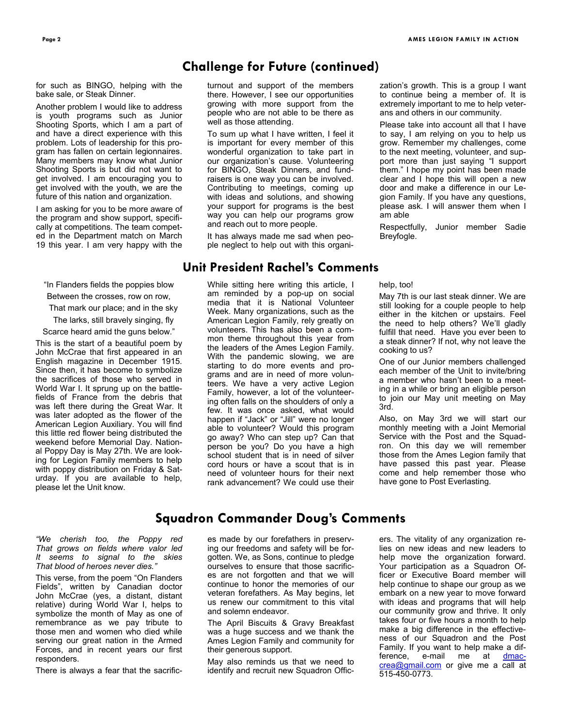# **Challenge for Future (continued)**

for such as BINGO, helping with the bake sale, or Steak Dinner.

Another problem I would like to address is youth programs such as Junior Shooting Sports, which I am a part of and have a direct experience with this problem. Lots of leadership for this program has fallen on certain legionnaires. Many members may know what Junior Shooting Sports is but did not want to get involved. I am encouraging you to get involved with the youth, we are the future of this nation and organization.

I am asking for you to be more aware of the program and show support, specifically at competitions. The team competed in the Department match on March 19 this year. I am very happy with the

"In Flanders fields the poppies blow

Between the crosses, row on row,

That mark our place; and in the sky

The larks, still bravely singing, fly

Scarce heard amid the guns below."

This is the start of a beautiful poem by John McCrae that first appeared in an English magazine in December 1915. Since then, it has become to symbolize the sacrifices of those who served in World War I. It sprung up on the battlefields of France from the debris that was left there during the Great War. It was later adopted as the flower of the American Legion Auxiliary. You will find this little red flower being distributed the weekend before Memorial Day. National Poppy Day is May 27th. We are looking for Legion Family members to help with poppy distribution on Friday & Saturday. If you are available to help, please let the Unit know.

turnout and support of the members there. However, I see our opportunities growing with more support from the people who are not able to be there as well as those attending.

To sum up what I have written, I feel it is important for every member of this wonderful organization to take part in our organization's cause. Volunteering for BINGO, Steak Dinners, and fundraisers is one way you can be involved. Contributing to meetings, coming up with ideas and solutions, and showing your support for programs is the best way you can help our programs grow and reach out to more people.

It has always made me sad when people neglect to help out with this organi-

### **Unit President Rachel's Comments**

While sitting here writing this article, I am reminded by a pop-up on social media that it is National Volunteer Week. Many organizations, such as the American Legion Family, rely greatly on volunteers. This has also been a common theme throughout this year from the leaders of the Ames Legion Family. With the pandemic slowing, we are starting to do more events and programs and are in need of more volunteers. We have a very active Legion Family, however, a lot of the volunteering often falls on the shoulders of only a few. It was once asked, what would happen if "Jack" or "Jill" were no longer able to volunteer? Would this program go away? Who can step up? Can that person be you? Do you have a high school student that is in need of silver cord hours or have a scout that is in need of volunteer hours for their next rank advancement? We could use their zation's growth. This is a group I want to continue being a member of. It is extremely important to me to help veterans and others in our community.

Please take into account all that I have to say, I am relying on you to help us grow. Remember my challenges, come to the next meeting, volunteer, and support more than just saying "I support them." I hope my point has been made clear and I hope this will open a new door and make a difference in our Legion Family. If you have any questions, please ask. I will answer them when I am able

Respectfully, Junior member Sadie Breyfogle.

help, too!

May 7th is our last steak dinner. We are still looking for a couple people to help either in the kitchen or upstairs. Feel the need to help others? We'll gladly fulfill that need. Have you ever been to a steak dinner? If not, why not leave the cooking to us?

One of our Junior members challenged each member of the Unit to invite/bring a member who hasn't been to a meeting in a while or bring an eligible person to join our May unit meeting on May 3rd.

Also, on May 3rd we will start our monthly meeting with a Joint Memorial Service with the Post and the Squadron. On this day we will remember those from the Ames Legion family that have passed this past year. Please come and help remember those who have gone to Post Everlasting.

## **Squadron Commander Doug's Comments**

*"We cherish too, the Poppy red That grows on fields where valor led It seems to signal to the skies That blood of heroes never dies."*

This verse, from the poem "On Flanders Fields", written by Canadian doctor John McCrae (yes, a distant, distant relative) during World War I, helps to symbolize the month of May as one of remembrance as we pay tribute to those men and women who died while serving our great nation in the Armed Forces, and in recent years our first responders.

There is always a fear that the sacrific-

es made by our forefathers in preserving our freedoms and safety will be forgotten. We, as Sons, continue to pledge ourselves to ensure that those sacrifices are not forgotten and that we will continue to honor the memories of our veteran forefathers. As May begins, let us renew our commitment to this vital and solemn endeavor.

The April Biscuits & Gravy Breakfast was a huge success and we thank the Ames Legion Family and community for their generous support.

May also reminds us that we need to identify and recruit new Squadron Offic-

ers. The vitality of any organization relies on new ideas and new leaders to help move the organization forward. Your participation as a Squadron Officer or Executive Board member will help continue to shape our group as we embark on a new year to move forward with ideas and programs that will help our community grow and thrive. It only takes four or five hours a month to help make a big difference in the effectiveness of our Squadron and the Post Family. If you want to help make a difference, e-mail me at [dmac](mailto:dmaccrea@gmail.com)[crea@gmail.com](mailto:dmaccrea@gmail.com)</u> or give me a call at 515-450-0773.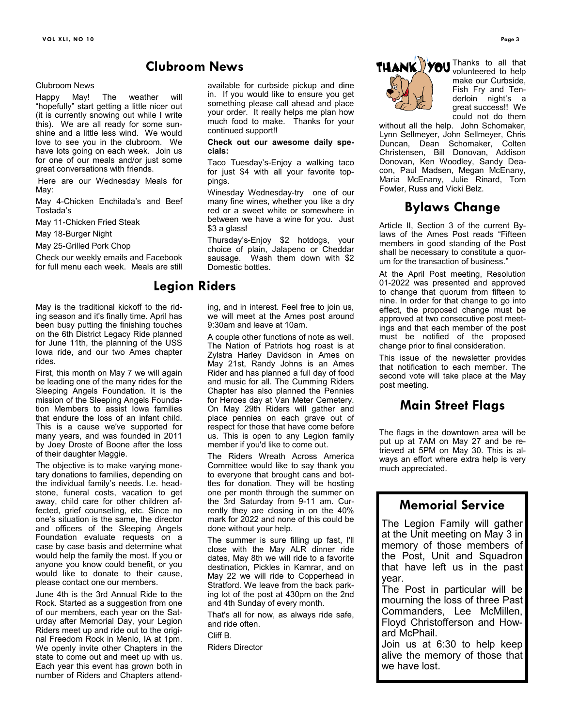#### Clubroom News

Happy May! The weather will "hopefully" start getting a little nicer out (it is currently snowing out while I write this). We are all ready for some sunshine and a little less wind. We would love to see you in the clubroom. We have lots going on each week. Join us for one of our meals and/or just some great conversations with friends.

Here are our Wednesday Meals for May:

May 4-Chicken Enchilada's and Beef Tostada's

May 11-Chicken Fried Steak

May 18-Burger Night

May 25-Grilled Pork Chop

Check our weekly emails and Facebook for full menu each week. Meals are still

May is the traditional kickoff to the riding season and it's finally time. April has been busy putting the finishing touches on the 6th District Legacy Ride planned for June 11th, the planning of the USS Iowa ride, and our two Ames chapter rides.

First, this month on May 7 we will again be leading one of the many rides for the Sleeping Angels Foundation. It is the mission of the Sleeping Angels Foundation Members to assist Iowa families that endure the loss of an infant child. This is a cause we've supported for many years, and was founded in 2011 by Joey Droste of Boone after the loss of their daughter Maggie.

The objective is to make varying monetary donations to families, depending on the individual family's needs. I.e. headstone, funeral costs, vacation to get away, child care for other children affected, grief counseling, etc. Since no one's situation is the same, the director and officers of the Sleeping Angels Foundation evaluate requests on a case by case basis and determine what would help the family the most. If you or anyone you know could benefit, or you would like to donate to their cause, please contact one our members.

June 4th is the 3rd Annual Ride to the Rock. Started as a suggestion from one of our members, each year on the Saturday after Memorial Day, your Legion Riders meet up and ride out to the original Freedom Rock in Menlo, IA at 1pm. We openly invite other Chapters in the state to come out and meet up with us. Each year this event has grown both in number of Riders and Chapters attend-

# **Clubroom News**

available for curbside pickup and dine in. If you would like to ensure you get something please call ahead and place your order. It really helps me plan how much food to make. Thanks for your continued support!!

**Check out our awesome daily specials:**

Taco Tuesday's-Enjoy a walking taco for just \$4 with all your favorite toppings.

Winesday Wednesday-try one of our many fine wines, whether you like a dry red or a sweet white or somewhere in between we have a wine for you. Just \$3 a glass!

Thursday's-Enjoy \$2 hotdogs, your choice of plain, Jalapeno or Cheddar sausage. Wash them down with \$2 Domestic bottles.

# **Legion Riders**

ing, and in interest. Feel free to join us, we will meet at the Ames post around 9:30am and leave at 10am.

A couple other functions of note as well. The Nation of Patriots hog roast is at Zylstra Harley Davidson in Ames on May 21st, Randy Johns is an Ames Rider and has planned a full day of food and music for all. The Cumming Riders Chapter has also planned the Pennies for Heroes day at Van Meter Cemetery. On May 29th Riders will gather and place pennies on each grave out of respect for those that have come before us. This is open to any Legion family member if you'd like to come out.

The Riders Wreath Across America Committee would like to say thank you to everyone that brought cans and bottles for donation. They will be hosting one per month through the summer on the 3rd Saturday from 9-11 am. Currently they are closing in on the 40% mark for 2022 and none of this could be done without your help.

The summer is sure filling up fast, I'll close with the May ALR dinner ride dates, May 8th we will ride to a favorite destination, Pickles in Kamrar, and on May 22 we will ride to Copperhead in Stratford. We leave from the back parking lot of the post at 430pm on the 2nd and 4th Sunday of every month.

That's all for now, as always ride safe, and ride often.

Cliff B.

Riders Director



Thanks to all that volunteered to help make our Curbside, Fish Fry and Tenderloin night's a great success!! We could not do them

without all the help. John Schomaker, Lynn Sellmeyer, John Sellmeyer, Chris Duncan, Dean Schomaker, Colten Christensen, Bill Donovan, Addison Donovan, Ken Woodley, Sandy Deacon, Paul Madsen, Megan McEnany, Maria McEnany, Julie Rinard, Tom Fowler, Russ and Vicki Belz.

# **Bylaws Change**

Article II, Section 3 of the current Bylaws of the Ames Post reads "Fifteen members in good standing of the Post shall be necessary to constitute a quorum for the transaction of business.

At the April Post meeting, Resolution 01-2022 was presented and approved to change that quorum from fifteen to nine. In order for that change to go into effect, the proposed change must be approved at two consecutive post meetings and that each member of the post must be notified of the proposed change prior to final consideration.

This issue of the newsletter provides that notification to each member. The second vote will take place at the May post meeting.

# **Main Street Flags**

The flags in the downtown area will be put up at 7AM on May 27 and be retrieved at 5PM on May 30. This is always an effort where extra help is very much appreciated.

# **Memorial Service**

The Legion Family will gather at the Unit meeting on May 3 in memory of those members of the Post, Unit and Squadron that have left us in the past year.

The Post in particular will be mourning the loss of three Past Commanders, Lee McMillen, Floyd Christofferson and Howard McPhail.

Join us at 6:30 to help keep alive the memory of those that we have lost.